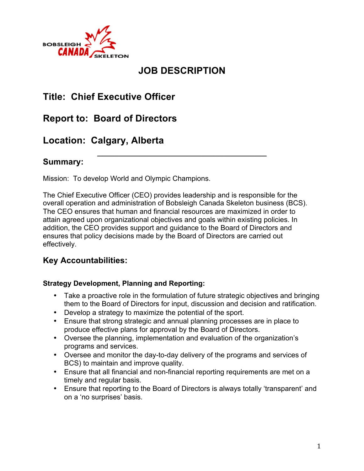

# **JOB DESCRIPTION**

\_\_\_\_\_\_\_\_\_\_\_\_\_\_\_\_\_\_\_\_\_\_\_\_\_\_\_\_\_\_\_\_

# **Title: Chief Executive Officer**

# **Report to: Board of Directors**

# **Location: Calgary, Alberta**

### **Summary:**

Mission: To develop World and Olympic Champions.

The Chief Executive Officer (CEO) provides leadership and is responsible for the overall operation and administration of Bobsleigh Canada Skeleton business (BCS). The CEO ensures that human and financial resources are maximized in order to attain agreed upon organizational objectives and goals within existing policies. In addition, the CEO provides support and guidance to the Board of Directors and ensures that policy decisions made by the Board of Directors are carried out effectively.

### **Key Accountabilities:**

#### **Strategy Development, Planning and Reporting:**

- Take a proactive role in the formulation of future strategic objectives and bringing them to the Board of Directors for input, discussion and decision and ratification.
- Develop a strategy to maximize the potential of the sport.
- Ensure that strong strategic and annual planning processes are in place to produce effective plans for approval by the Board of Directors.
- Oversee the planning, implementation and evaluation of the organization's programs and services.
- Oversee and monitor the day-to-day delivery of the programs and services of BCS) to maintain and improve quality.
- Ensure that all financial and non-financial reporting requirements are met on a timely and regular basis.
- Ensure that reporting to the Board of Directors is always totally 'transparent' and on a 'no surprises' basis.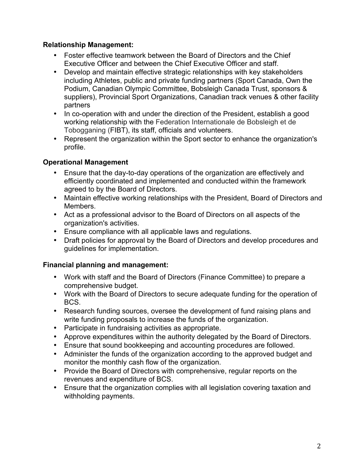#### **Relationship Management:**

- Foster effective teamwork between the Board of Directors and the Chief Executive Officer and between the Chief Executive Officer and staff.
- Develop and maintain effective strategic relationships with key stakeholders including Athletes, public and private funding partners (Sport Canada, Own the Podium, Canadian Olympic Committee, Bobsleigh Canada Trust, sponsors & suppliers), Provincial Sport Organizations, Canadian track venues & other facility partners
- In co-operation with and under the direction of the President, establish a good working relationship with the Federation Internationale de Bobsleigh et de Tobogganing (FIBT), its staff, officials and volunteers.
- Represent the organization within the Sport sector to enhance the organization's profile.

#### **Operational Management**

- Ensure that the day-to-day operations of the organization are effectively and efficiently coordinated and implemented and conducted within the framework agreed to by the Board of Directors.
- Maintain effective working relationships with the President, Board of Directors and Members.
- Act as a professional advisor to the Board of Directors on all aspects of the organization's activities.
- Ensure compliance with all applicable laws and regulations.
- Draft policies for approval by the Board of Directors and develop procedures and guidelines for implementation.

#### **Financial planning and management:**

- Work with staff and the Board of Directors (Finance Committee) to prepare a comprehensive budget.
- Work with the Board of Directors to secure adequate funding for the operation of BCS.
- Research funding sources, oversee the development of fund raising plans and write funding proposals to increase the funds of the organization.
- Participate in fundraising activities as appropriate.
- Approve expenditures within the authority delegated by the Board of Directors.
- Ensure that sound bookkeeping and accounting procedures are followed.
- Administer the funds of the organization according to the approved budget and monitor the monthly cash flow of the organization.
- Provide the Board of Directors with comprehensive, regular reports on the revenues and expenditure of BCS.
- Ensure that the organization complies with all legislation covering taxation and withholding payments.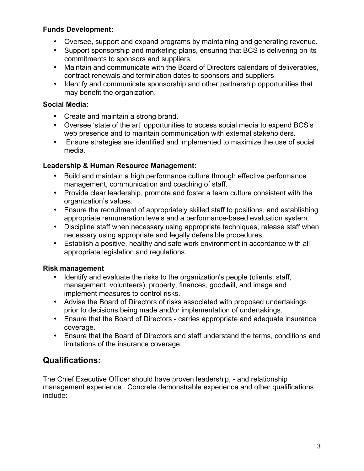#### **Funds Development:**

- Oversee, support and expand programs by maintaining and generating revenue.
- Support sponsorship and marketing plans, ensuring that BCS is delivering on its commitments to sponsors and suppliers.
- Maintain and communicate with the Board of Directors calendars of deliverables, contract renewals and termination dates to sponsors and suppliers
- Identify and communicate sponsorship and other partnership opportunities that may benefit the organization.

#### **Social Media:**

- Create and maintain a strong brand.
- Oversee 'state of the art' opportunities to access social media to expend BCS's web presence and to maintain communication with external stakeholders.
- Ensure strategies are identified and implemented to maximize the use of social media.

### **Leadership & Human Resource Management:**

- Build and maintain a high performance culture through effective performance management, communication and coaching of staff.
- Provide clear leadership, promote and foster a team culture consistent with the organization's values.
- Ensure the recruitment of appropriately skilled staff to positions, and establishing appropriate remuneration levels and a performance-based evaluation system.
- Discipline staff when necessary using appropriate techniques, release staff when necessary using appropriate and legally defensible procedures.
- Establish a positive, healthy and safe work environment in accordance with all appropriate legislation and regulations.

#### **Risk management**

- Identify and evaluate the risks to the organization's people (clients, staff, management, volunteers), property, finances, goodwill, and image and implement measures to control risks.
- Advise the Board of Directors of risks associated with proposed undertakings prior to decisions being made and/or implementation of undertakings.
- Ensure that the Board of Directors carries appropriate and adequate insurance coverage.
- Ensure that the Board of Directors and staff understand the terms, conditions and limitations of the insurance coverage.

# **Qualifications:**

The Chief Executive Officer should have proven leadership, - and relationship management experience. Concrete demonstrable experience and other qualifications include: